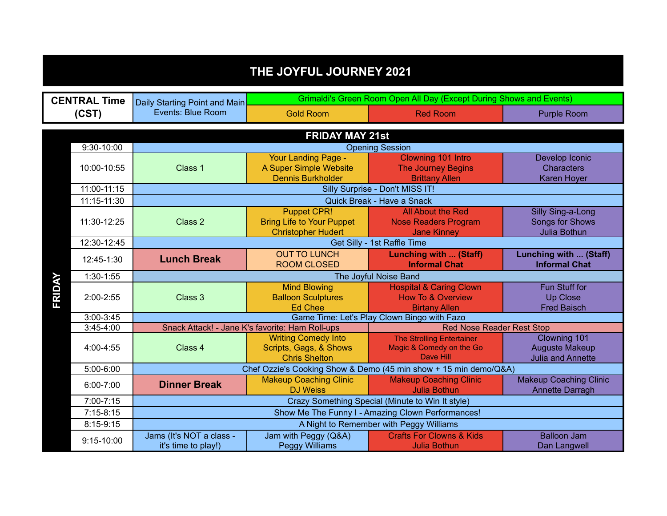| THE JOYFUL JOURNEY 2021                  |                        |                                                   |                                                      |                                                                     |                                                |  |  |  |  |  |
|------------------------------------------|------------------------|---------------------------------------------------|------------------------------------------------------|---------------------------------------------------------------------|------------------------------------------------|--|--|--|--|--|
|                                          | <b>CENTRAL Time</b>    | Daily Starting Point and Main                     |                                                      | Grimaldi's Green Room Open All Day (Except During Shows and Events) |                                                |  |  |  |  |  |
| (CST)                                    |                        | Events: Blue Room                                 | <b>Gold Room</b>                                     | <b>Red Room</b>                                                     | <b>Purple Room</b>                             |  |  |  |  |  |
|                                          | <b>FRIDAY MAY 21st</b> |                                                   |                                                      |                                                                     |                                                |  |  |  |  |  |
| $9:30 - 10:00$<br><b>Opening Session</b> |                        |                                                   |                                                      |                                                                     |                                                |  |  |  |  |  |
|                                          | 10:00-10:55            | Class 1                                           | <b>Your Landing Page -</b>                           | Clowning 101 Intro                                                  | Develop Iconic                                 |  |  |  |  |  |
|                                          |                        |                                                   | A Super Simple Website                               | <b>The Journey Begins</b>                                           | <b>Characters</b>                              |  |  |  |  |  |
|                                          |                        |                                                   | <b>Dennis Burkholder</b>                             | <b>Brittany Allen</b>                                               | <b>Karen Hoyer</b>                             |  |  |  |  |  |
|                                          | 11:00-11:15            | Silly Surprise - Don't MISS IT!                   |                                                      |                                                                     |                                                |  |  |  |  |  |
|                                          | 11:15-11:30            | Quick Break - Have a Snack                        |                                                      |                                                                     |                                                |  |  |  |  |  |
|                                          |                        | Class 2                                           | <b>Puppet CPR!</b>                                   | All About the Red                                                   | <b>Silly Sing-a-Long</b>                       |  |  |  |  |  |
|                                          | 11:30-12:25            |                                                   | <b>Bring Life to Your Puppet</b>                     | <b>Nose Readers Program</b>                                         | Songs for Shows                                |  |  |  |  |  |
|                                          |                        |                                                   | <b>Christopher Hudert</b>                            | <b>Jane Kinney</b>                                                  | Julia Bothun                                   |  |  |  |  |  |
|                                          | 12:30-12:45            |                                                   |                                                      | Get Silly - 1st Raffle Time                                         |                                                |  |  |  |  |  |
|                                          | 12:45-1:30             | <b>Lunch Break</b>                                | <b>OUT TO LUNCH</b><br><b>ROOM CLOSED</b>            | Lunching with  (Staff)<br><b>Informal Chat</b>                      | Lunching with  (Staff)<br><b>Informal Chat</b> |  |  |  |  |  |
|                                          | $1:30-1:55$            | The Joyful Noise Band                             |                                                      |                                                                     |                                                |  |  |  |  |  |
| FRIDAY                                   | 2:00-2:55              |                                                   | <b>Mind Blowing</b>                                  | <b>Hospital &amp; Caring Clown</b>                                  | <b>Fun Stuff for</b>                           |  |  |  |  |  |
|                                          |                        | Class 3                                           | <b>Balloon Sculptures</b>                            | <b>How To &amp; Overview</b>                                        | <b>Up Close</b>                                |  |  |  |  |  |
|                                          |                        |                                                   | <b>Ed Chee</b>                                       | <b>Birtany Allen</b>                                                | <b>Fred Baisch</b>                             |  |  |  |  |  |
|                                          | $3:00 - 3:45$          |                                                   | Game Time: Let's Play Clown Bingo with Fazo          |                                                                     |                                                |  |  |  |  |  |
|                                          | $3:45-4:00$            | Snack Attack! - Jane K's favorite: Ham Roll-ups   | <b>Red Nose Reader Rest Stop</b>                     |                                                                     |                                                |  |  |  |  |  |
|                                          | 4:00-4:55              | Class 4                                           | <b>Writing Comedy Into</b><br>Scripts, Gags, & Shows | <b>The Strolling Entertainer</b><br>Magic & Comedy on the Go        | Clowning 101<br><b>Auguste Makeup</b>          |  |  |  |  |  |
|                                          |                        |                                                   | <b>Chris Shelton</b>                                 | Dave Hill                                                           | <b>Julia and Annette</b>                       |  |  |  |  |  |
|                                          | 5:00-6:00              |                                                   |                                                      | Chef Ozzie's Cooking Show & Demo (45 min show + 15 min demo/Q&A)    |                                                |  |  |  |  |  |
|                                          |                        |                                                   | <b>Makeup Coaching Clinic</b>                        | <b>Makeup Coaching Clinic</b>                                       | <b>Makeup Coaching Clinic</b>                  |  |  |  |  |  |
|                                          | $6:00 - 7:00$          | <b>Dinner Break</b>                               | <b>DJ Weiss</b>                                      | <b>Julia Bothun</b>                                                 | Annette Darragh                                |  |  |  |  |  |
|                                          | 7:00-7:15              | Crazy Something Special (Minute to Win It style)  |                                                      |                                                                     |                                                |  |  |  |  |  |
|                                          | $7:15-8:15$            | Show Me The Funny I - Amazing Clown Performances! |                                                      |                                                                     |                                                |  |  |  |  |  |
|                                          | $8:15-9:15$            | A Night to Remember with Peggy Williams           |                                                      |                                                                     |                                                |  |  |  |  |  |
|                                          | $9:15 - 10:00$         | Jams (It's NOT a class -                          | Jam with Peggy (Q&A)                                 | <b>Crafts For Clowns &amp; Kids</b>                                 | <b>Balloon Jam</b>                             |  |  |  |  |  |
|                                          |                        | it's time to play!)                               | <b>Peggy Williams</b>                                | <b>Julia Bothun</b>                                                 | Dan Langwell                                   |  |  |  |  |  |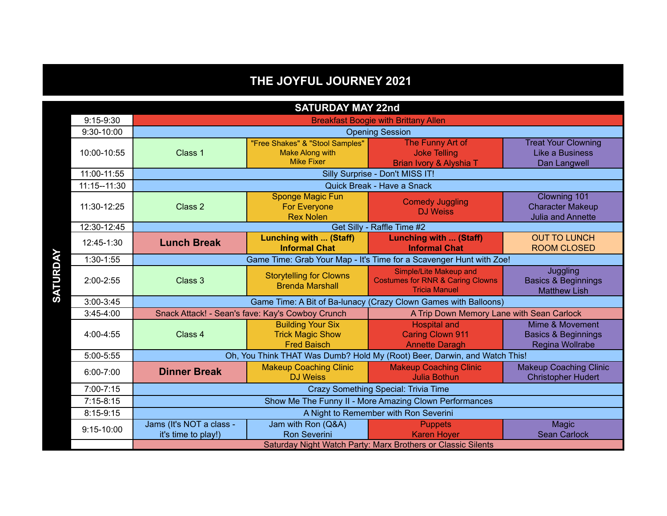## **THE JOYFUL JOURNEY 2021**

| <b>SATURDAY MAY 22nd</b> |                                                                           |                                                                                |                                                                                               |                                                                      |  |  |
|--------------------------|---------------------------------------------------------------------------|--------------------------------------------------------------------------------|-----------------------------------------------------------------------------------------------|----------------------------------------------------------------------|--|--|
| $9:15-9:30$              | <b>Breakfast Boogie with Brittany Allen</b>                               |                                                                                |                                                                                               |                                                                      |  |  |
| 9:30-10:00               |                                                                           | <b>Opening Session</b>                                                         |                                                                                               |                                                                      |  |  |
| 10:00-10:55              | Class 1                                                                   | "Free Shakes" & "Stool Samples"<br><b>Make Along with</b><br><b>Mike Fixer</b> | The Funny Art of<br><b>Joke Telling</b><br>Brian Ivory & Alyshia T                            | <b>Treat Your Clowning</b><br>Like a Business<br>Dan Langwell        |  |  |
| 11:00-11:55              | Silly Surprise - Don't MISS IT!                                           |                                                                                |                                                                                               |                                                                      |  |  |
| 11:15--11:30             | Quick Break - Have a Snack                                                |                                                                                |                                                                                               |                                                                      |  |  |
| 11:30-12:25              | Class 2                                                                   | <b>Sponge Magic Fun</b><br><b>For Everyone</b><br><b>Rex Nolen</b>             | <b>Comedy Juggling</b><br><b>DJ Weiss</b>                                                     | Clowning 101<br><b>Character Makeup</b><br><b>Julia and Annette</b>  |  |  |
| 12:30-12:45              | Get Silly - Raffle Time #2                                                |                                                                                |                                                                                               |                                                                      |  |  |
| 12:45-1:30               | <b>Lunch Break</b>                                                        | <b>Lunching with  (Staff)</b><br><b>Informal Chat</b>                          | Lunching with  (Staff)<br><b>Informal Chat</b>                                                | <b>OUT TO LUNCH</b><br><b>ROOM CLOSED</b>                            |  |  |
| $1:30-1:55$              | Game Time: Grab Your Map - It's Time for a Scavenger Hunt with Zoe!       |                                                                                |                                                                                               |                                                                      |  |  |
| $2:00 - 2:55$            | Class 3                                                                   | <b>Storytelling for Clowns</b><br><b>Brenda Marshall</b>                       | Simple/Lite Makeup and<br><b>Costumes for RNR &amp; Caring Clowns</b><br><b>Tricia Manuel</b> | Juggling<br><b>Basics &amp; Beginnings</b><br><b>Matthew Lish</b>    |  |  |
| $3:00 - 3:45$            | Game Time: A Bit of Ba-lunacy (Crazy Clown Games with Balloons)           |                                                                                |                                                                                               |                                                                      |  |  |
| $3:45-4:00$              | Snack Attack! - Sean's fave: Kay's Cowboy Crunch                          |                                                                                | A Trip Down Memory Lane with Sean Carlock                                                     |                                                                      |  |  |
| 4:00-4:55                | Class 4                                                                   | <b>Building Your Six</b><br><b>Trick Magic Show</b><br><b>Fred Baisch</b>      | <b>Hospital and</b><br><b>Caring Clown 911</b><br><b>Annette Daragh</b>                       | Mime & Movement<br><b>Basics &amp; Beginnings</b><br>Regina Wollrabe |  |  |
| 5:00-5:55                | Oh, You Think THAT Was Dumb? Hold My (Root) Beer, Darwin, and Watch This! |                                                                                |                                                                                               |                                                                      |  |  |
| $6:00 - 7:00$            | <b>Dinner Break</b>                                                       | <b>Makeup Coaching Clinic</b><br><b>DJ Weiss</b>                               | <b>Makeup Coaching Clinic</b><br><b>Julia Bothun</b>                                          | <b>Makeup Coaching Clinic</b><br><b>Christopher Hudert</b>           |  |  |
| 7:00-7:15                | Crazy Something Special: Trivia Time                                      |                                                                                |                                                                                               |                                                                      |  |  |
| $7:15-8:15$              | Show Me The Funny II - More Amazing Clown Performances                    |                                                                                |                                                                                               |                                                                      |  |  |
| $8:15-9:15$              |                                                                           | A Night to Remember with Ron Severini                                          |                                                                                               |                                                                      |  |  |
| 9:15-10:00               | Jams (It's NOT a class -<br>it's time to play!)                           | Jam with Ron (Q&A)<br><b>Ron Severini</b>                                      | <b>Puppets</b><br><b>Karen Hover</b>                                                          | Magic<br><b>Sean Carlock</b>                                         |  |  |
|                          | Saturday Night Watch Party: Marx Brothers or Classic Silents              |                                                                                |                                                                                               |                                                                      |  |  |